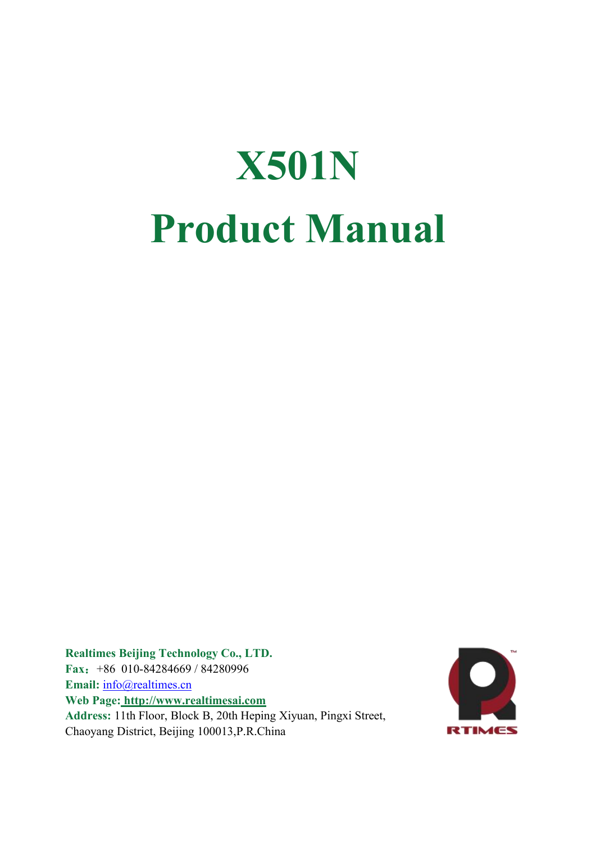# **X501N Product Manual**

**Realtimes Beijing Technology Co., LTD. Fax**:+86 010-84284669 / 84280996 **Email:** [info@realtimes.cn](mailto:info@realtimes.cn) **Web Page: [http://www.realtimesai.com](https://www.realtimesai.com) Address:** 11th Floor, Block B, 20th Heping Xiyuan, Pingxi Street, Chaoyang District, Beijing 100013,P.R.China

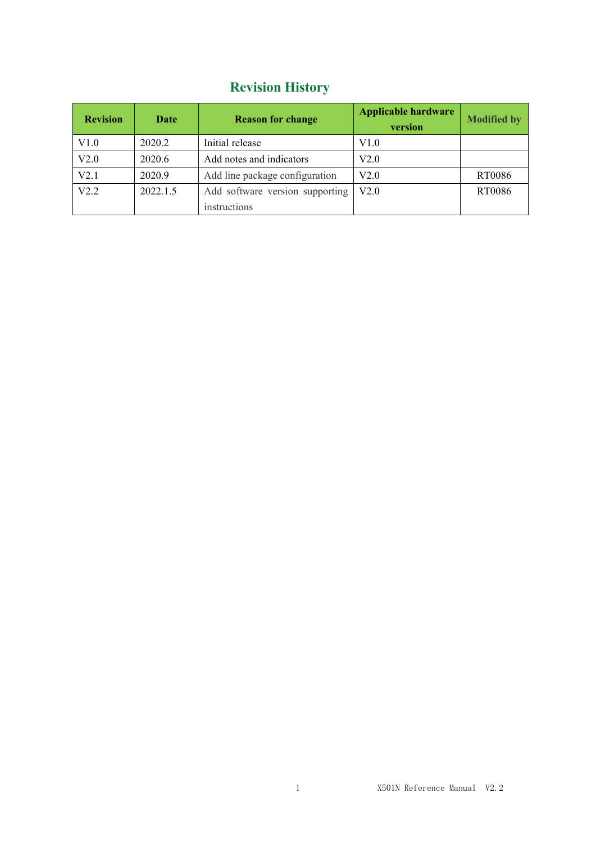# **Revision History**

| <b>Revision</b> | Date     | <b>Reason for change</b>        | <b>Applicable hardware</b><br>version | <b>Modified by</b> |
|-----------------|----------|---------------------------------|---------------------------------------|--------------------|
| V1.0            | 2020.2   | Initial release                 | V1.0                                  |                    |
| V2.0            | 2020.6   | Add notes and indicators        | V2.0                                  |                    |
| V2.1            | 2020.9   | Add line package configuration  | V2.0                                  | RT0086             |
| V2.2            | 2022.1.5 | Add software version supporting | V2.0                                  | RT0086             |
|                 |          | instructions                    |                                       |                    |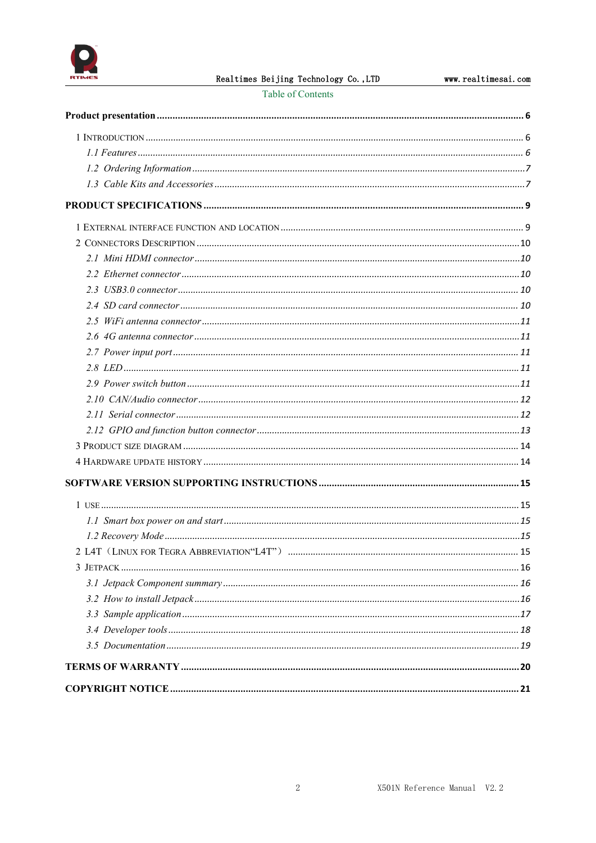

Table of Contents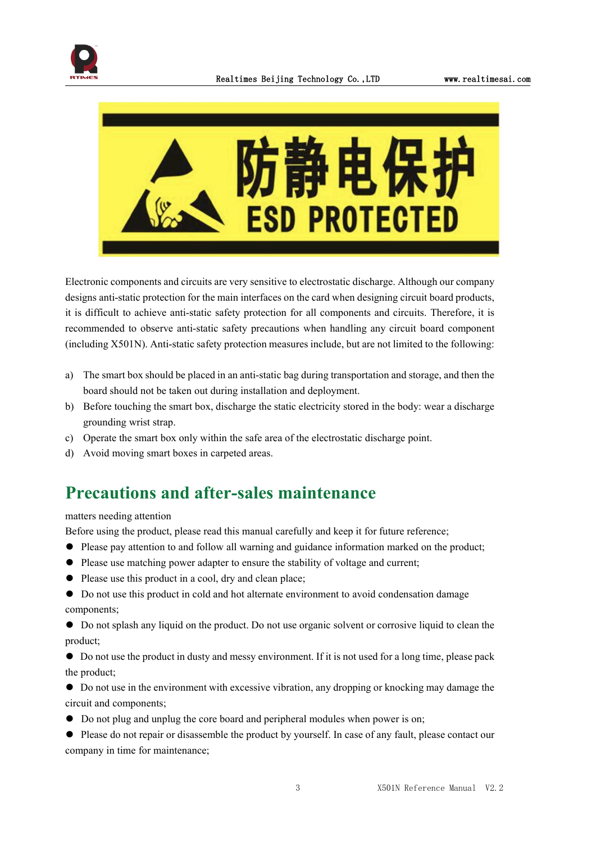



Electronic components and circuits are very sensitive to electrostatic discharge. Although our company designs anti-static protection for the main interfaces on the card when designing circuit board products, it is difficult to achieve anti-static safety protection for all components and circuits. Therefore, it is recommended to observe anti-static safety precautions when handling any circuit board component (including X501N). Anti-static safety protection measures include, but are not limited to the following:

- a) The smart box should be placed in an anti-static bag during transportation and storage, and then the board should not be taken out during installation and deployment.
- b) Before touching the smart box, discharge the static electricity stored in the body: wear a discharge grounding wrist strap.
- c) Operate the smart box only within the safe area of the electrostatic discharge point.
- d) Avoid moving smart boxes in carpeted areas.

# **Precautions and after-sales maintenance**

### matters needing attention

Before using the product, please read this manual carefully and keep it for future reference;

- ⚫ Please pay attention to and follow all warning and guidance information marked on the product;
- ⚫ Please use matching power adapter to ensure the stability of voltage and current;
- ⚫ Please use this product in a cool, dry and clean place;
- ⚫ Do not use this product in cold and hot alternate environment to avoid condensation damage components;
- ⚫ Do not splash any liquid on the product. Do not use organic solventor corrosive liquid to clean the product;
- ⚫ Do not use the product in dusty and messy environment. If it is not used for a long time, please pack the product;
- ⚫ Do not use in the environment with excessive vibration, any dropping or knocking may damage the circuit and components;
- ⚫ Do not plug and unplug the core board and peripheral modules when power is on;
- $\bullet$  Please do not repair or disassemble the product by yourself. In case of any fault, please contact our company in time for maintenance;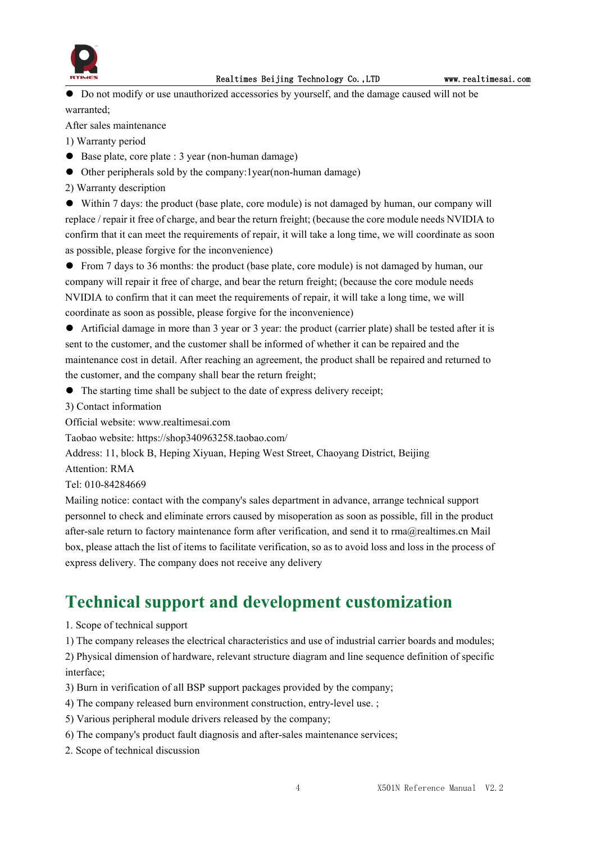

⚫ Do not modify or use unauthorized accessories by yourself, and the damage caused will not be warranted;

After sales maintenance

1) Warranty period

- Base plate, core plate : 3 year (non-human damage)
- ⚫ Other peripherals sold by the company:1year(non-human damage)

2) Warranty description

⚫ Within 7 days: the product (base plate, core module) is not damaged by human, our company will replace / repair it free of charge, and bear the return freight; (because the core module needs NVIDIA to confirm that it can meet the requirements of repair, it will take a long time, we will coordinate as soon as possible, please forgive for the inconvenience)

● From 7 days to 36 months: the product (base plate, core module) is not damaged by human, our company will repair it free of charge, and bear the return freight; (because the core module needs NVIDIA to confirm that it can meet the requirements of repair, it will take a long time, we will coordinate as soon as possible, please forgive for the inconvenience)

⚫ Artificial damage in more than 3 year or 3 year: the product (carrier plate) shall be tested after it is sent to the customer, and the customer shall be informed of whether it can be repaired and the maintenance cost in detail. After reaching an agreement, the product shall be repaired and returned to the customer, and the company shall bear the return freight;

 $\bullet$  The starting time shall be subject to the date of express delivery receipt;

3) Contact information

Official website: www.realtimesai.com

Taobao website: https://shop340963258.taobao.com/

Address: 11, block B, Heping Xiyuan, Heping West Street, Chaoyang District, Beijing

Attention: RMA

Tel: 010-84284669

Mailing notice: contact with the company's sales department in advance, arrange technical support personnel to check and eliminate errors caused by misoperation as soon as possible, fill in the product after-sale return to factory maintenance form after verification, and send it to rma@realtimes.cn Mail box, please attach the list of items to facilitate verification, so as to avoid loss and loss in the process of express delivery. The company does not receive any delivery

# **Technical support and development customization**

1. Scope of technical support

1) The company releases the electrical characteristics and use of industrial carrier boards and modules;

2) Physical dimension of hardware, relevant structure diagram and line sequence definition of specific interface;

- 3) Burn in verification of all BSP support packages provided by the company;
- 4) The company released burn environment construction, entry-level use. ;
- 5) Various peripheral module drivers released by the company;
- 6) The company's product fault diagnosis and after-sales maintenance services;
- 2. Scope of technical discussion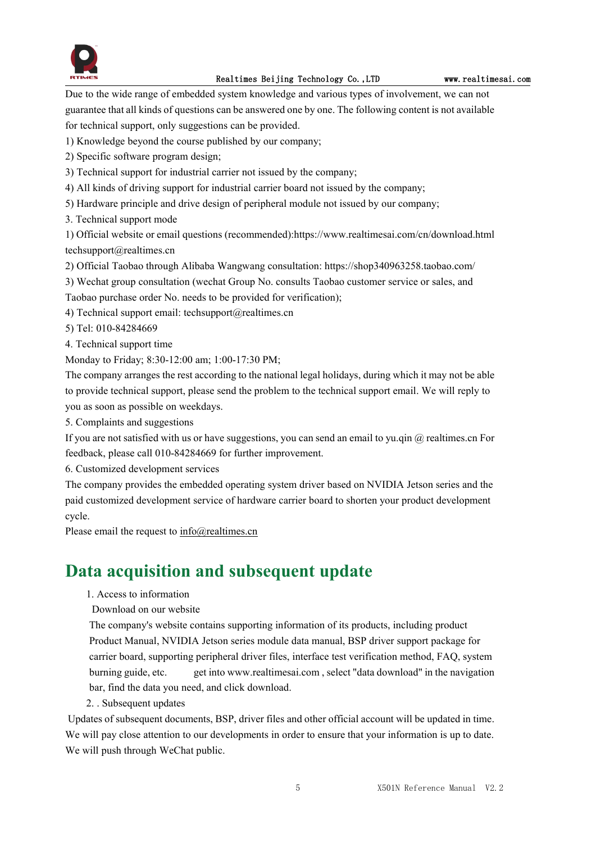

Due to the wide range of embedded system knowledge and various types of involvement, we can not guarantee that all kinds of questions can be answered one by one.The following content is not available for technical support, only suggestions can be provided.

1) Knowledge beyond the course published by our company;

- 2) Specific software program design;
- 3) Technical support for industrial carrier not issued by the company;
- 4) All kinds of driving support for industrial carrier board not issued by the company;
- 5) Hardware principle and drive design of peripheral module not issued by our company;
- 3. Technical support mode

1) Official website or email questions (recommended):https://www.realtimesai.com/cn/download.html techsupport@realtimes.cn

2) Official Taobao through Alibaba Wangwang consultation: https://shop340963258.taobao.com/

3) Wechat group consultation (wechat Group No. consults Taobao customer service or sales, and

Taobao purchase order No. needs to be provided for verification);

4) Technical support email: techsupport@realtimes.cn

- 5) Tel: 010-84284669
- 4. Technical support time

Monday to Friday; 8:30-12:00 am; 1:00-17:30 PM;

The company arranges the rest according to the national legal holidays, during which it may notbe able to provide technical support, please send the problem to the technical support email. We will reply to you as soon as possible on weekdays.

5. Complaints and suggestions

If you are not satisfied with us or have suggestions, you can send an email to yu.qin  $@$  realtimes.cn For feedback, please call 010-84284669 for further improvement.

6. Customized development services

The company provides the embedded operating system driver based on NVIDIA Jetson series and the paid customized development service of hardware carrier board to shorten your product development cycle.

Please email the request to [info@realtimes.cn](mailto:info@realtimes.cn)

### **Data acquisition and subsequent update**

- 1. Access to information
- Download on our website

The company's website contains supporting information of its products, including product Product Manual, NVIDIA Jetson series module data manual, BSP driver support package for carrier board, supporting peripheral driver files, interface test verification method, FAQ, system burning guide, etc. get into www.realtimesai.com , select "data download" in the navigation bar, find the data you need, and click download.

### 2. . Subsequent updates

Updates of subsequent documents, BSP, driver files and other official account will be updated in time. We will pay close attention to our developments in order to ensure that your information is up to date. We will push through WeChat public.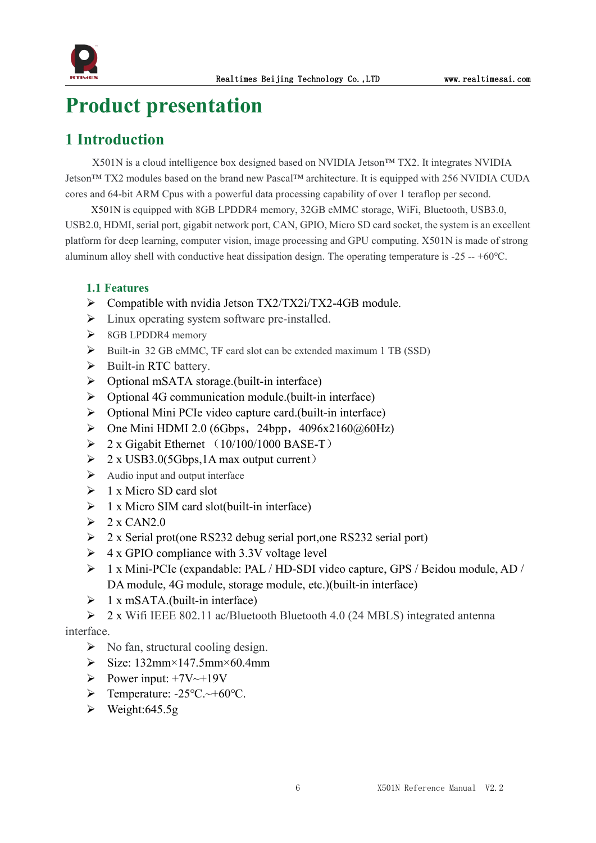

# <span id="page-6-0"></span>**Product presentation**

### <span id="page-6-1"></span>**1 Introduction**

X501N is a cloud intelligence box designed based on NVIDIA Jetson™ TX2. It integrates NVIDIA Jetson™ TX2 modules based on the brand new Pascal™ architecture. It is equipped with 256 NVIDIA CUDA cores and 64-bit ARM Cpus with a powerful data processing capability of over 1 teraflop per second.

X501N is equipped with 8GB LPDDR4 memory,32GB eMMC storage, WiFi, Bluetooth, USB3.0, USB2.0, HDMI, serial port, gigabit network port, CAN, GPIO, Micro SD card socket, the system is an excellent platform for deep learning, computer vision, image processing and GPU computing. X501N is made of strong aluminum alloy shell with conductive heat dissipation design. The operating temperature is -25 -- +60℃.

### <span id="page-6-2"></span>**1.1 Features**

- $\triangleright$  Compatible with nvidia Jetson TX2/TX2i/TX2-4GB module.
- $\triangleright$  Linux operating system software pre-installed.
- $\triangleright$  8GB LPDDR4 memory
- Built-in 32 GB eMMC, TF card slot can be extended maximum 1 TB (SSD)
- $\triangleright$  Built-in RTC battery.
- Optional mSATA storage.(built-in interface)
- Optional 4G communication module.(built-in interface)
- Optional Mini PCIe video capture card.(built-in interface)
- $\triangleright$  One Mini HDMI 2.0 (6Gbps, 24bpp, 4096x2160@60Hz)
- $\geq 2$  x Gigabit Ethernet (10/100/1000 BASE-T)
- $\geq 2$  x USB3.0(5Gbps, 1A max output current)
- $\triangleright$  Audio input and output interface
- $\geq 1$  x Micro SD card slot
- $\geq 1$  x Micro SIM card slot(built-in interface)
- $\geq 2$  x CAN2.0
- $\geq 2$  x Serial prot(one RS232 debug serial port, one RS232 serial port)
- $\geq 4$  x GPIO compliance with 3.3V voltage level
- 1 x Mini-PCIe(expandable: PAL / HD-SDI video capture, GPS / Beidou module, AD / DA module, 4G module, storage module, etc.)(built-in interface)
- $\geq 1$  x mSATA.(built-in interface)
- $\geq 2$  x Wifi IEEE 802.11 ac/Bluetooth Bluetooth 4.0 (24 MBLS) integrated antenna

### interface.

- $\triangleright$  No fan, structural cooling design.
- $\triangleright$  Size: 132mm×147.5mm×60.4mm
- $\triangleright$  Power input: +7V~+19V
- Temperature: -25℃.~+60℃.
- $\triangleright$  Weight:645.5g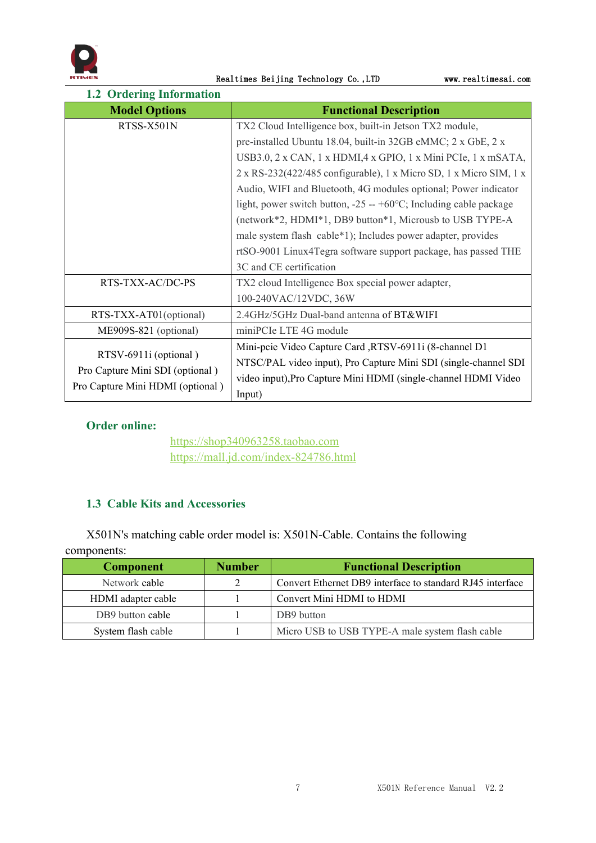

Realtimes Beijing Technology Co., LTD www.realtimesai.com

<span id="page-7-0"></span>

| <b>1.2 Ordering Information</b>  |                                                                            |  |  |  |
|----------------------------------|----------------------------------------------------------------------------|--|--|--|
| <b>Model Options</b>             | <b>Functional Description</b>                                              |  |  |  |
| RTSS-X501N                       | TX2 Cloud Intelligence box, built-in Jetson TX2 module,                    |  |  |  |
|                                  | pre-installed Ubuntu 18.04, built-in 32GB eMMC; 2 x GbE, 2 x               |  |  |  |
|                                  | USB3.0, 2 x CAN, 1 x HDMI, 4 x GPIO, 1 x Mini PCIe, 1 x mSATA,             |  |  |  |
|                                  | 2 x RS-232(422/485 configurable), 1 x Micro SD, 1 x Micro SIM, 1 x         |  |  |  |
|                                  | Audio, WIFI and Bluetooth, 4G modules optional; Power indicator            |  |  |  |
|                                  | light, power switch button, $-25 - +60^{\circ}$ C; Including cable package |  |  |  |
|                                  | (network*2, HDMI*1, DB9 button*1, Microusb to USB TYPE-A                   |  |  |  |
|                                  | male system flash cable*1); Includes power adapter, provides               |  |  |  |
|                                  | rtSO-9001 Linux4Tegra software support package, has passed THE             |  |  |  |
|                                  | 3C and CE certification                                                    |  |  |  |
| RTS-TXX-AC/DC-PS                 | TX2 cloud Intelligence Box special power adapter,                          |  |  |  |
|                                  | 100-240VAC/12VDC, 36W                                                      |  |  |  |
| RTS-TXX-AT01(optional)           | 2.4GHz/5GHz Dual-band antenna of BT&WIFI                                   |  |  |  |
| ME909S-821 (optional)            | miniPCIe LTE 4G module                                                     |  |  |  |
|                                  | Mini-pcie Video Capture Card , RTSV-6911i (8-channel D1                    |  |  |  |
| RTSV-6911i (optional)            | NTSC/PAL video input), Pro Capture Mini SDI (single-channel SDI            |  |  |  |
| Pro Capture Mini SDI (optional)  | video input), Pro Capture Mini HDMI (single-channel HDMI Video             |  |  |  |
| Pro Capture Mini HDMI (optional) | Input)                                                                     |  |  |  |

### **Order online:**

<https://shop340963258.taobao.com> <https://mall.jd.com/index-824786.html>

### <span id="page-7-1"></span>**1.3 Cable Kits and Accessories**

X501N's matching cable order model is: X501N-Cable. Contains the following components:

| <b>Component</b>   | <b>Number</b>             | <b>Functional Description</b>                             |  |
|--------------------|---------------------------|-----------------------------------------------------------|--|
| Network cable      |                           | Convert Ethernet DB9 interface to standard RJ45 interface |  |
| HDMI adapter cable | Convert Mini HDMI to HDMI |                                                           |  |
| DB9 button cable   |                           | DB9 button                                                |  |
| System flash cable |                           | Micro USB to USB TYPE-A male system flash cable           |  |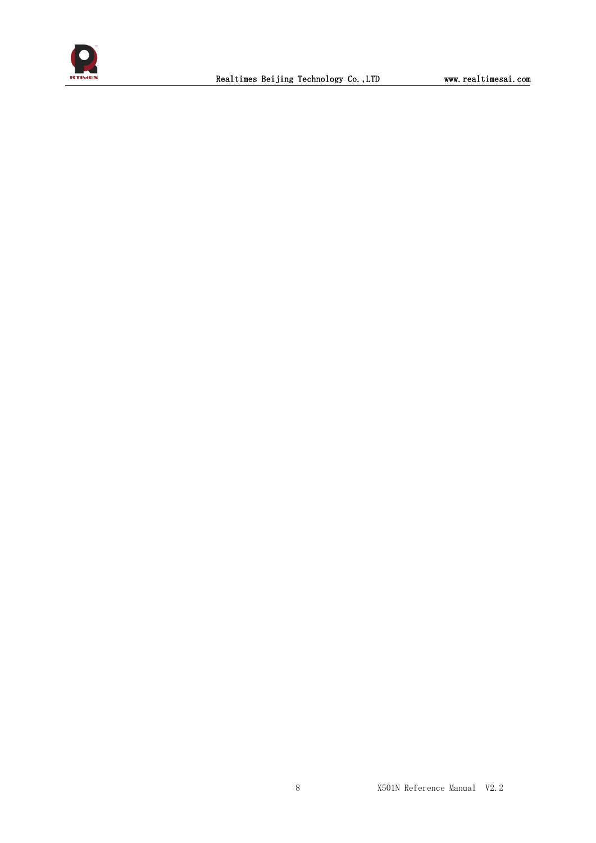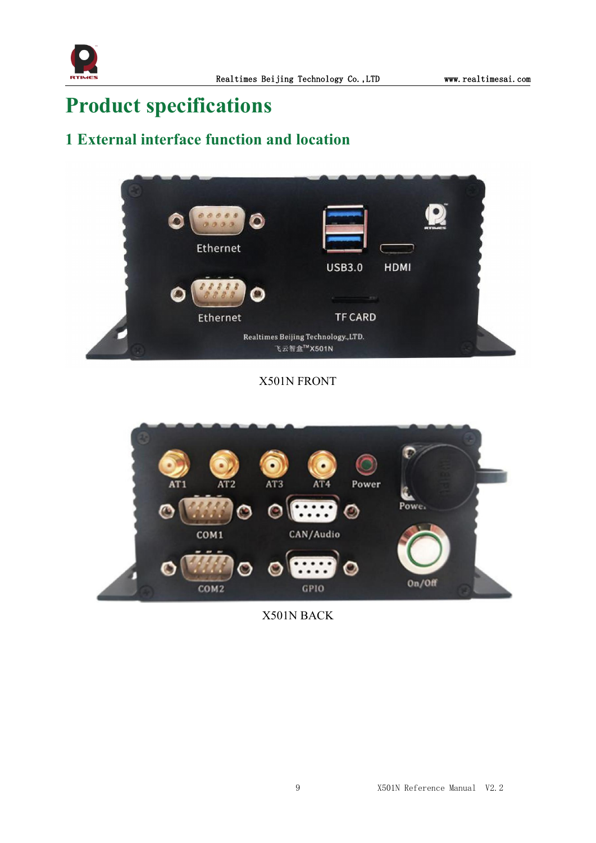

# <span id="page-9-0"></span>**Product specifications**

## <span id="page-9-1"></span>**1 External interface function and location**



### X501N FRONT



X501N BACK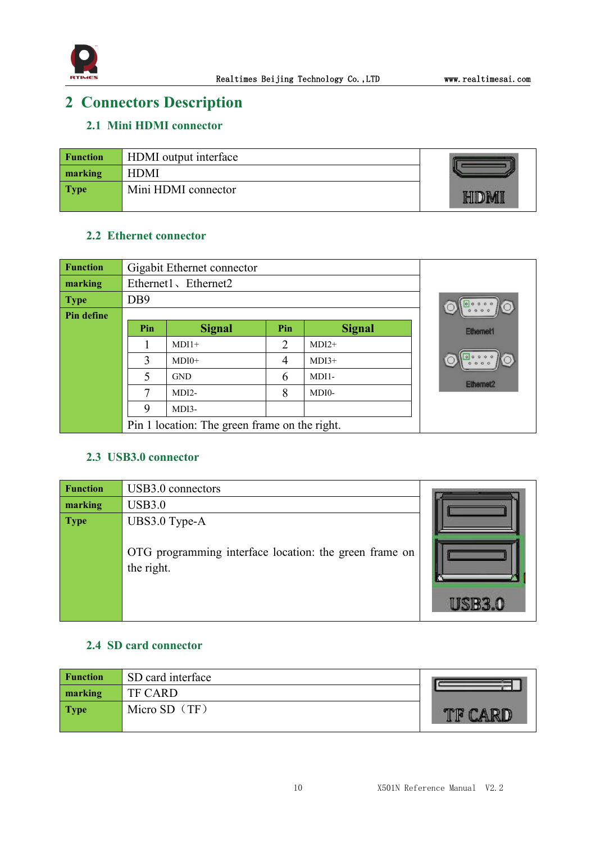

# <span id="page-10-0"></span>**2 Connectors Description**

### <span id="page-10-1"></span>**2.1 Mini HDMI connector**

| <b>Function</b> | HDMI output interface |  |
|-----------------|-----------------------|--|
| marking         | <b>HDMI</b>           |  |
| <b>Type</b>     | Mini HDMI connector   |  |

### <span id="page-10-2"></span>**2.2 Ethernet connector**

| <b>Function</b> | Gigabit Ethernet connector |                                               |                |               |                 |
|-----------------|----------------------------|-----------------------------------------------|----------------|---------------|-----------------|
| marking         |                            | Ethernet1, Ethernet2                          |                |               |                 |
| <b>Type</b>     | D <sub>B</sub> 9           |                                               |                |               |                 |
| Pin define      |                            |                                               |                |               |                 |
|                 | Pin                        | <b>Signal</b>                                 | Pin            | <b>Signal</b> | <b>Ethemet1</b> |
|                 |                            | $MDI1+$                                       | $\overline{2}$ | $MDI2+$       |                 |
|                 | 3                          | $MDI0+$                                       | 4              | $MDI3+$       |                 |
|                 | 5                          | <b>GND</b>                                    | 6              | $MDI1-$       | Ethemet2        |
|                 | 7                          | $MDI2-$                                       | 8              | MDI0-         |                 |
|                 | 9                          | $MDI3-$                                       |                |               |                 |
|                 |                            | Pin 1 location: The green frame on the right. |                |               |                 |

### <span id="page-10-3"></span>**2.3 USB3.0 connector**

| <b>Function</b> | USB3.0 connectors                                                                     |  |
|-----------------|---------------------------------------------------------------------------------------|--|
| marking         | <b>USB3.0</b>                                                                         |  |
| <b>Type</b>     | UBS3.0 Type-A<br>OTG programming interface location: the green frame on<br>the right. |  |

### <span id="page-10-4"></span>**2.4 SD card connector**

| <b>Function</b> | SD card interface |                    |
|-----------------|-------------------|--------------------|
| marking         | TF CARD           |                    |
| <b>Type</b>     | Micro SD (TF)     | <b>ADD</b><br>у на |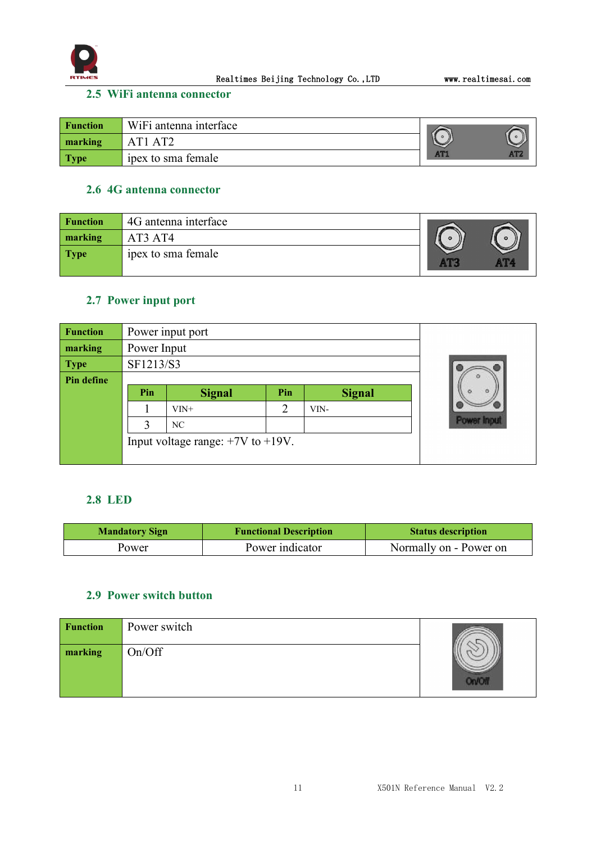

### <span id="page-11-0"></span>**2.5 WiFi antenna connector**

| <b>Function</b> | WiFi antenna interface |     |  |
|-----------------|------------------------|-----|--|
| marking         | AT2                    |     |  |
| <b>Type</b>     | ipex to sma female     | AT1 |  |

### <span id="page-11-1"></span>**2.6 4G antenna connector**

| <b>Function</b> | 4G antenna interface |            |
|-----------------|----------------------|------------|
| marking         | AT3 AT4              | $^{\circ}$ |
| <b>Type</b>     | ipex to sma female   |            |

### <span id="page-11-2"></span>**2.7 Power input port**

| <b>Function</b> |              | Power input port                       |     |               |  |
|-----------------|--------------|----------------------------------------|-----|---------------|--|
| marking         | Power Input  |                                        |     |               |  |
| <b>Type</b>     | SF1213/S3    |                                        |     |               |  |
| Pin define      |              |                                        |     |               |  |
|                 | Pin          | <b>Signal</b>                          | Pin | <b>Signal</b> |  |
|                 |              | $VIN+$                                 | 2   | VIN-          |  |
|                 | $\mathbf{3}$ | NC                                     |     |               |  |
|                 |              | Input voltage range: $+7V$ to $+19V$ . |     |               |  |
|                 |              |                                        |     |               |  |

### <span id="page-11-3"></span>**2.8 LED**

| <b>Mandatory Sign</b> | <b>Functional Description</b> | <b>Status description</b> |
|-----------------------|-------------------------------|---------------------------|
| Power                 | Power indicator               | Normally on - Power on    |

### <span id="page-11-4"></span>**2.9 Power switch button**

| <b>Function</b> | Power switch |  |
|-----------------|--------------|--|
| marking         | On/Off       |  |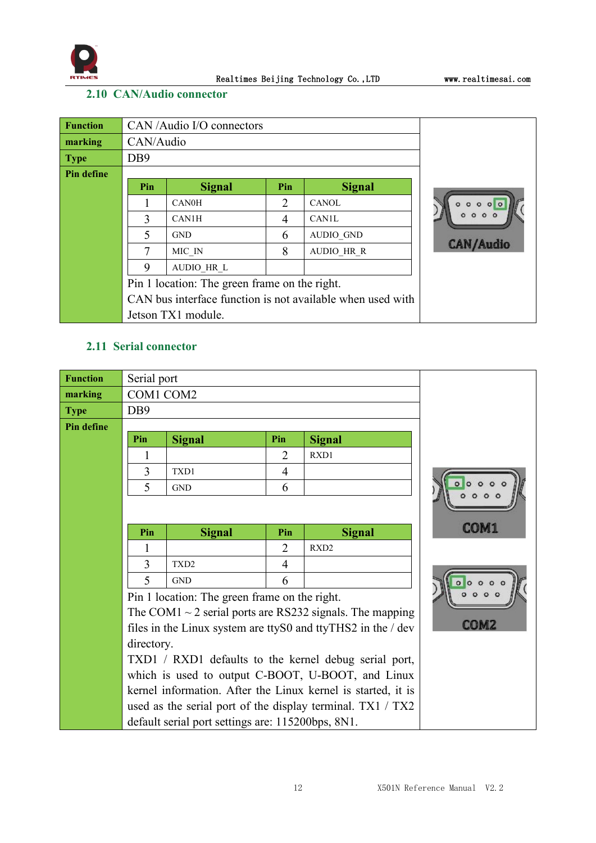

### <span id="page-12-0"></span>**2.10 CAN/Audio connector**

| <b>Function</b> | CAN/Audio I/O connectors                                   |               |                |               |                  |
|-----------------|------------------------------------------------------------|---------------|----------------|---------------|------------------|
| marking         | CAN/Audio                                                  |               |                |               |                  |
| <b>Type</b>     | D <sub>B9</sub>                                            |               |                |               |                  |
| Pin define      |                                                            |               |                |               |                  |
|                 | Pin                                                        | <b>Signal</b> | Pin            | <b>Signal</b> |                  |
|                 |                                                            | <b>CAN0H</b>  | $\overline{2}$ | <b>CANOL</b>  | 0000             |
|                 | 3                                                          | CAN1H         | 4              | <b>CAN1L</b>  |                  |
|                 | $\overline{\phantom{0}}$                                   | <b>GND</b>    | 6              | AUDIO GND     |                  |
|                 | 7                                                          | MIC IN        | 8              | AUDIO HR R    | <b>CAN/Audio</b> |
|                 | 9                                                          | AUDIO HR L    |                |               |                  |
|                 | Pin 1 location: The green frame on the right.              |               |                |               |                  |
|                 | CAN bus interface function is not available when used with |               |                |               |                  |
|                 | Jetson TX1 module.                                         |               |                |               |                  |

### <span id="page-12-1"></span>**2.11 Serial connector**

| <b>Function</b>   | Serial port                                                   |                  |                |                                   |      |
|-------------------|---------------------------------------------------------------|------------------|----------------|-----------------------------------|------|
| marking           | COM1 COM2                                                     |                  |                |                                   |      |
| <b>Type</b>       | D <sub>B</sub> 9                                              |                  |                |                                   |      |
| <b>Pin define</b> |                                                               |                  |                |                                   |      |
|                   | Pin                                                           | <b>Signal</b>    | Pin            | <b>Signal</b>                     |      |
|                   | 1                                                             |                  | $\overline{2}$ | RXD1                              |      |
|                   | 3                                                             | TXD1             | $\overline{4}$ |                                   |      |
|                   | 5                                                             | <b>GND</b>       | 6              |                                   |      |
|                   |                                                               |                  |                |                                   |      |
|                   | Pin                                                           | <b>Signal</b>    | Pin            |                                   | COM1 |
|                   |                                                               |                  | $\overline{2}$ | <b>Signal</b><br>RXD <sub>2</sub> |      |
|                   | 3                                                             |                  | $\overline{4}$ |                                   |      |
|                   |                                                               | TXD <sub>2</sub> |                |                                   |      |
|                   | $\overline{\mathcal{L}}$<br>6<br><b>GND</b>                   |                  |                |                                   |      |
|                   | Pin 1 location: The green frame on the right.                 |                  |                |                                   |      |
|                   | The COM1 $\sim$ 2 serial ports are RS232 signals. The mapping |                  |                |                                   |      |
|                   | files in the Linux system are ttyS0 and ttyTHS2 in the / dev  |                  |                |                                   |      |
|                   | directory.                                                    |                  |                |                                   |      |
|                   | TXD1 / RXD1 defaults to the kernel debug serial port,         |                  |                |                                   |      |
|                   | which is used to output C-BOOT, U-BOOT, and Linux             |                  |                |                                   |      |
|                   | kernel information. After the Linux kernel is started, it is  |                  |                |                                   |      |
|                   | used as the serial port of the display terminal. TX1 / TX2    |                  |                |                                   |      |
|                   | default serial port settings are: 115200bps, 8N1.             |                  |                |                                   |      |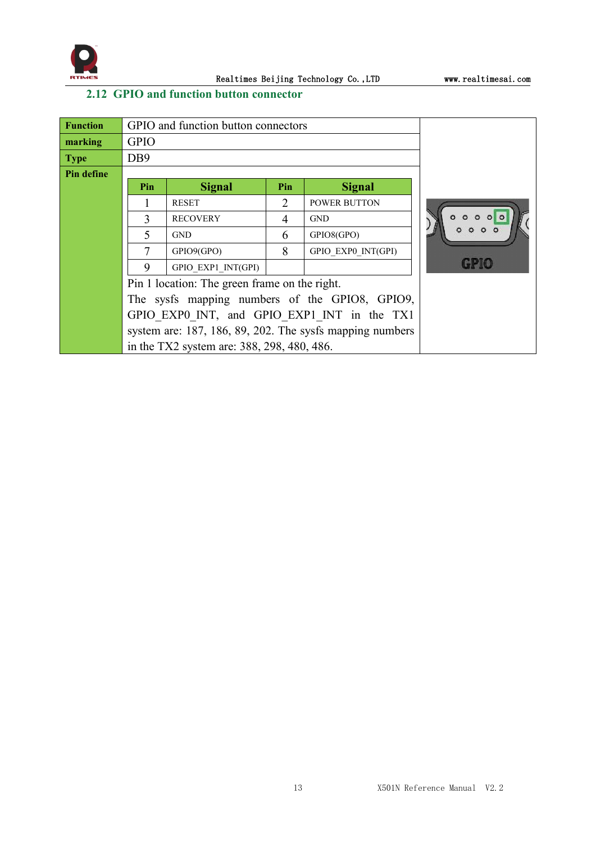

### <span id="page-13-0"></span>**2.12 GPIO and function button connector**

| <b>Function</b> | GPIO and function button connectors                      |                    |                |                     |                                                 |
|-----------------|----------------------------------------------------------|--------------------|----------------|---------------------|-------------------------------------------------|
| marking         | <b>GPIO</b>                                              |                    |                |                     |                                                 |
| <b>Type</b>     | D <sub>B</sub> 9                                         |                    |                |                     |                                                 |
| Pin define      |                                                          |                    |                |                     |                                                 |
|                 | Pin                                                      | <b>Signal</b>      | Pin            | <b>Signal</b>       |                                                 |
|                 |                                                          | <b>RESET</b>       | $\overline{2}$ | <b>POWER BUTTON</b> |                                                 |
|                 | 3                                                        | <b>RECOVERY</b>    | $\overline{4}$ | <b>GND</b>          |                                                 |
|                 | 5                                                        | <b>GND</b>         | 6              | GPIO8(GPO)          |                                                 |
|                 |                                                          | GPIO9(GPO)         | 8              | GPIO EXP0 INT(GPI)  |                                                 |
|                 | 9                                                        | GPIO EXP1 INT(GPI) |                |                     | $\mathbb{E}[\mathbf{r} \mathcal{F} \mathbf{r}]$ |
|                 | Pin 1 location: The green frame on the right.            |                    |                |                     |                                                 |
|                 | The sysfs mapping numbers of the GPIO8, GPIO9,           |                    |                |                     |                                                 |
|                 | GPIO EXP0 INT, and GPIO EXP1 INT in the TX1              |                    |                |                     |                                                 |
|                 | system are: 187, 186, 89, 202. The sysfs mapping numbers |                    |                |                     |                                                 |
|                 | in the TX2 system are: 388, 298, 480, 486.               |                    |                |                     |                                                 |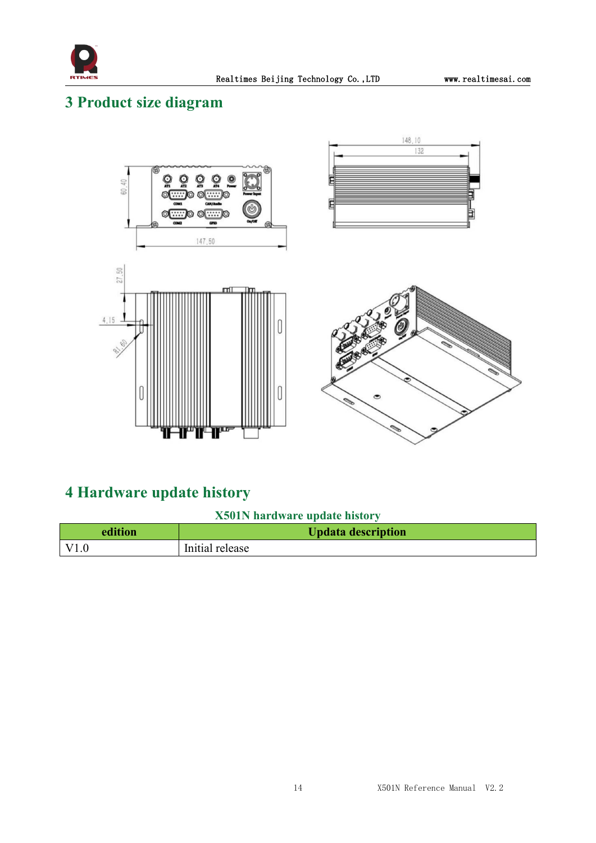

# <span id="page-14-0"></span>**3 Product size diagram**



# <span id="page-14-1"></span>**4 Hardware update history**

### **X501N hardware update history**

| edition | <b>Updata description</b> |
|---------|---------------------------|
| VI.0    | Initial release           |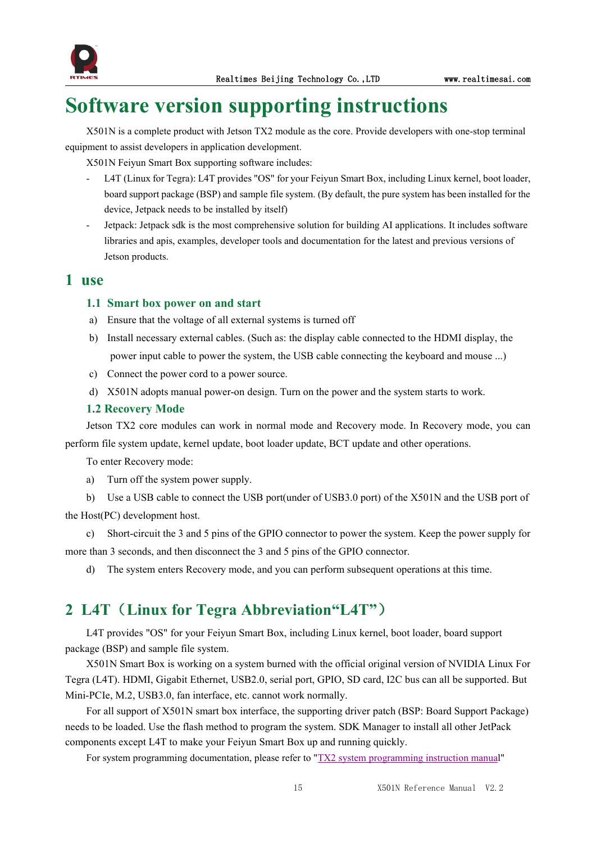

# <span id="page-15-0"></span>**Software version supporting instructions**

X501N is a complete product with Jetson TX2 module asthe core. Provide developers with one-stop terminal equipment to assist developers in application development.

X501N Feiyun Smart Box supporting software includes:

- L4T (Linux for Tegra): L4T provides "OS" for your Feiyun Smart Box, including Linux kernel, boot loader, board support package (BSP) and sample file system. (By default, the pure system has been installed for the device, Jetpack needs to be installed by itself)
- Jetpack: Jetpack sdk is the most comprehensive solution for building AI applications. It includes software libraries and apis, examples, developer tools and documentation for the latest and previous versions of Jetson products.

### <span id="page-15-1"></span>**1 use**

### <span id="page-15-2"></span>**1.1 Smartbox power on and start**

- a) Ensure that the voltage of all external systems is turned off
- b) Install necessary external cables. (Such as: the display cable connected to the HDMI display, the power input cable to power the system, the USB cable connecting the keyboard and mouse ...)
- c) Connect the power cord to a power source.
- d) X501N adopts manual power-on design. Turn on the power and the system starts to work.

#### <span id="page-15-3"></span>**1.2 Recovery Mode**

Jetson TX2 core modules can work in normal mode and Recovery mode. In Recovery mode, you can perform file system update, kernel update, boot loader update, BCT update and other operations.

To enter Recovery mode:

a) Turn off the system power supply.

b) Use a USB cable to connect the USB port(under of USB3.0 port) of the X501N and the USB port of the Host(PC) development host.

c) Short-circuit the 3 and 5 pins of the GPIO connector to power the system. Keep the power supply for more than 3 seconds, and then disconnect the 3 and 5 pins of the GPIO connector.

d) The system enters Recovery mode, and you can perform subsequent operations at this time.

### <span id="page-15-4"></span>**2 L4T**(**Linux for Tegra Abbreviation"L4T"**)

L4T provides "OS" foryour Feiyun Smart Box, including Linux kernel, boot loader, board support package (BSP) and sample file system.

X501N Smart Box is working on a system burned with the officialoriginal version of NVIDIA Linux For Tegra (L4T). HDMI, Gigabit Ethernet, USB2.0, serial port, GPIO, SD card, I2C bus can all be supported. But Mini-PCIe, M.2, USB3.0, fan interface, etc. cannot work normally.

For all support of X501N smart box interface, the supporting driver patch (BSP: Board Support Package) needs to be loaded. Use the flash method to program the system. SDK Manager to install all other JetPack components except L4T to make your Feiyun Smart Box up and running quickly.

For system programming documentation, please referto "TX2 system [programming](http://yun.realtimes.cn/) instruction manual"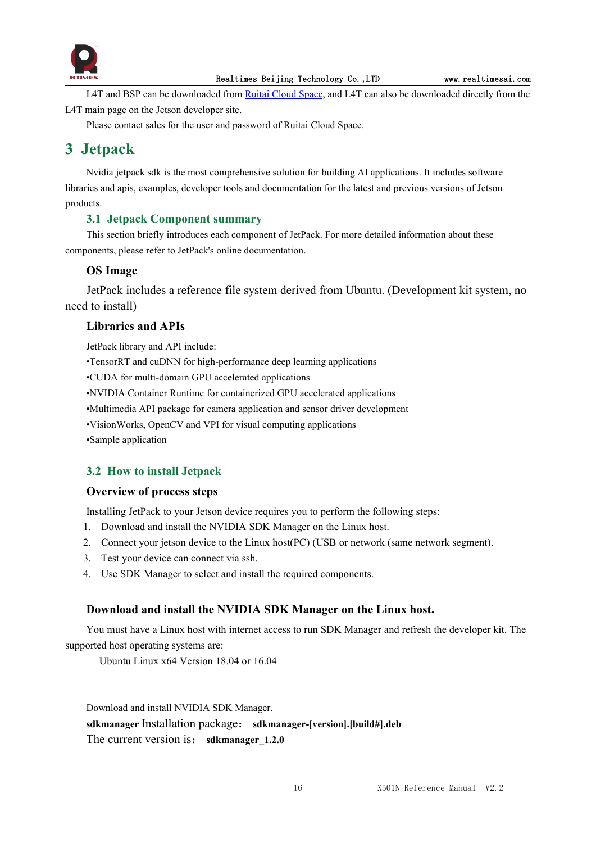

L4T and BSP can be downloaded from **Ruitai [Cloud](yun.realtimes.cn) Space**, and L4T can also be downloaded directly from the L4T main page on the Jetson developer site.

Please contact sales for the user and password of Ruitai Cloud Space.

### <span id="page-16-0"></span>**3 Jetpack**

Nvidia jetpack sdk is the most comprehensive solution for building AI applications. It includes software libraries and apis, examples, developer tools and documentation for the latest and previous versions of Jetson products.

### <span id="page-16-1"></span>**3.1 Jetpack Component summary**

This section briefly introduces each component of JetPack. For more detailed information about these components, please refer to JetPack's online documentation.

### **OS Image**

JetPack includes a reference file system derived from Ubuntu. (Development kit system, no need to install)

### **Libraries and APIs**

JetPack library and API include:

•TensorRT and cuDNN for high-performance deep learning applications

•CUDA for multi-domain GPU accelerated applications

•NVIDIA Container Runtime for containerized GPU accelerated applications

•Multimedia API package for camera application and sensor driver development

•VisionWorks, OpenCV and VPI for visual computing applications

•Sample application

### <span id="page-16-2"></span>**3.2 How to install Jetpack**

### **Overview of process steps**

Installing JetPack to your Jetson device requires you to perform the following steps:

- 1. Download and install the NVIDIA SDK Manager on the Linux host.
- 2. Connect your jetson device to the Linux host(PC) (USB or network (same network segment).
- 3. Test your device can connect via ssh.
- 4. Use SDK Manager to select and install the required components.

### **Download and install the NVIDIA SDK Manager on the Linux host.**

You must have a Linux host with internet access to run SDK Manager and refresh the developer kit.The supported host operating systems are:

Ubuntu Linux x64 Version 18.04 or 16.04

Download and install NVIDIA SDK Manager. **sdkmanager** Installation package: **sdkmanager-[version].[build#].deb** The current version is: **sdkmanager** 1.2.0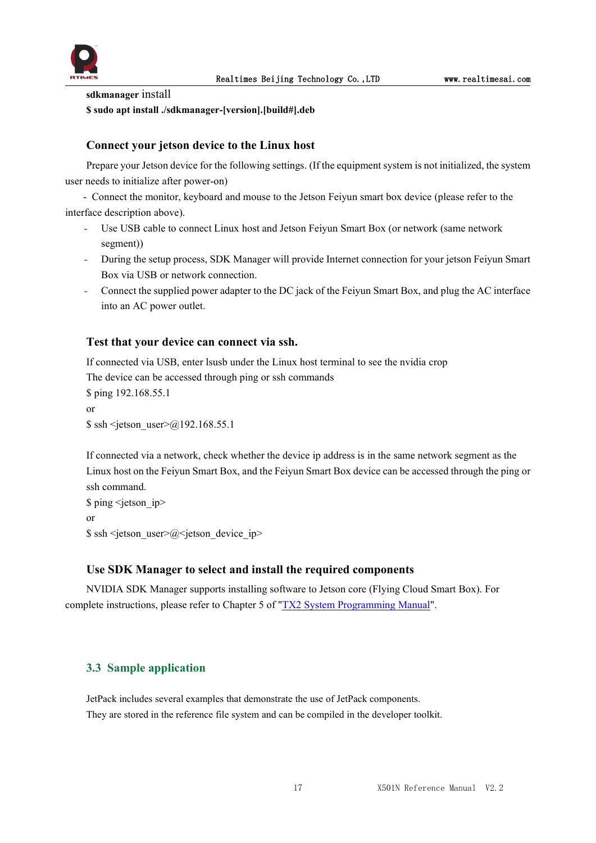

**sdkmanager** install **\$ sudo apt install ./sdkmanager-[version].[build#].deb**

### **Connect your jetson device to the Linux host**

Prepare your Jetson device for the following settings. (If the equipment system is not initialized, the system user needs to initialize after power-on)

- Connect the monitor, keyboard and mouse to the Jetson Feiyun smart box device (please refer to the interface description above).

- Use USB cable to connect Linux host and Jetson Feiyun Smart Box (or network (same network segment))
- During the setup process, SDK Manager will provide Internet connection for your jetson Feiyun Smart Box via USB or network connection.
- Connect the supplied power adapter to the DC jack of the Feiyun Smart Box, and plug the AC interface into an AC power outlet.

### **Test that your device can connect via ssh.**

If connected via USB, enter lsusb under the Linux host terminal to see the nvidia crop

The device can be accessed through ping or ssh commands

\$ ping 192.168.55.1 or  $$ sh *jetson* user $\gtrsim \gtrsim \gtrsim 192.168.55.1$$ 

If connected via a network, check whether the device ip address is in the same network segment as the Linux host on the Feiyun Smart Box, and the Feiyun Smart Box device can be accessed through the ping or ssh command.

\$ ping <jetson ip> or  $\$  ssh <jetson user> $@$  <jetson device ip>

### **Use SDK Manager to select and install the required components**

NVIDIA SDK Manager supports installing software to Jetson core (Flying Cloud Smart Box). For complete instructions, please refer to Chapter 5 of "TX2 System [Programming](http://yun.realtimes.cn/) Manual".

### <span id="page-17-0"></span>**3.3 Sample application**

JetPack includes several examples that demonstrate the use of JetPack components. They are stored in the reference file system and can be compiled in the developer toolkit.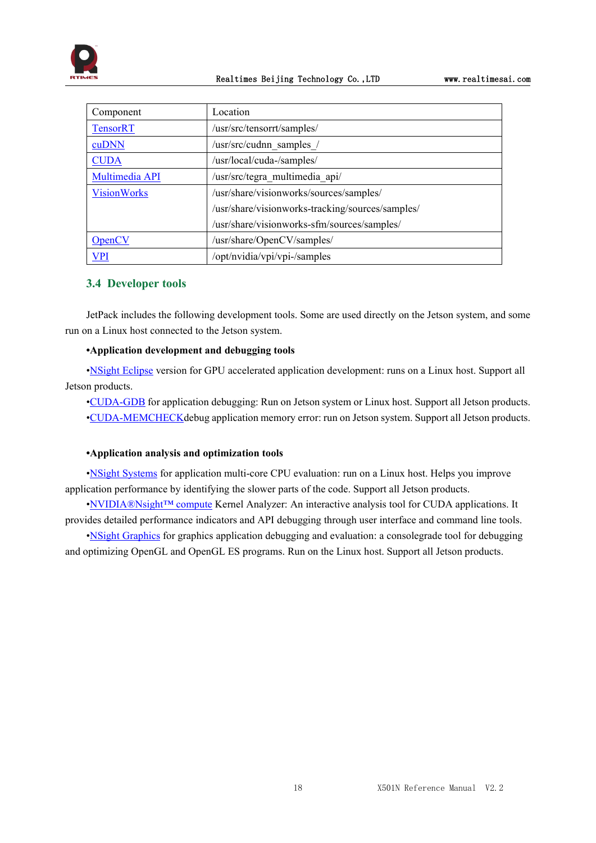

| Component          | Location                                         |
|--------------------|--------------------------------------------------|
| <b>TensorRT</b>    | /usr/src/tensorrt/samples/                       |
| cuDNN              | /usr/src/cudnn samples /                         |
| <b>CUDA</b>        | /usr/local/cuda-/samples/                        |
| Multimedia API     | /usr/src/tegra multimedia api/                   |
| <b>VisionWorks</b> | /usr/share/visionworks/sources/samples/          |
|                    | /usr/share/visionworks-tracking/sources/samples/ |
|                    | /usr/share/visionworks-sfm/sources/samples/      |
| OpenCV             | /usr/share/OpenCV/samples/                       |
| <b>VPI</b>         | /opt/nvidia/vpi/vpi-/samples                     |

### <span id="page-18-0"></span>**3.4 Developer tools**

JetPack includes the following development tools. Some are used directly on the Jetson system, and some run on a Linux host connected to the Jetson system.

### **•Application development and debugging tools**

•NSight [Eclipse](https://developer.nvidia.com/nsight-eclipse-edition) version for GPU accelerated application development: runs on a Linux host. Support all Jetson products.

•[CUDA-GDB](https://developer.nvidia.com/cuda-gdb) for application debugging: Run on Jetson system or Linux host. Support all Jetson products.

•[CUDA-MEMCHECKd](https://developer.nvidia.com/CUDA-MEMCHECK)ebug application memory error: run on Jetson system. Support all Jetson products.

### **•Application analysis and optimization tools**

•NSight [Systems](https://developer.nvidia.com/nsight-systems) for application multi-core CPU evaluation: run on a Linux host. Helps you improve application performance by identifying the slower parts of the code. Support all Jetson products.

•[NVIDIA®Nsight™](https://developer.nvidia.com/nsight-compute) compute Kernel Analyzer: An interactive analysis tool for CUDA applications. It provides detailed performance indicators and API debugging through user interface and command line tools.

•NSight [Graphics](https://developer.nvidia.com/nsight-graphics) for graphics application debugging and evaluation: a consolegrade tool for debugging and optimizing OpenGL and OpenGL ES programs. Run on the Linux host. Support all Jetson products.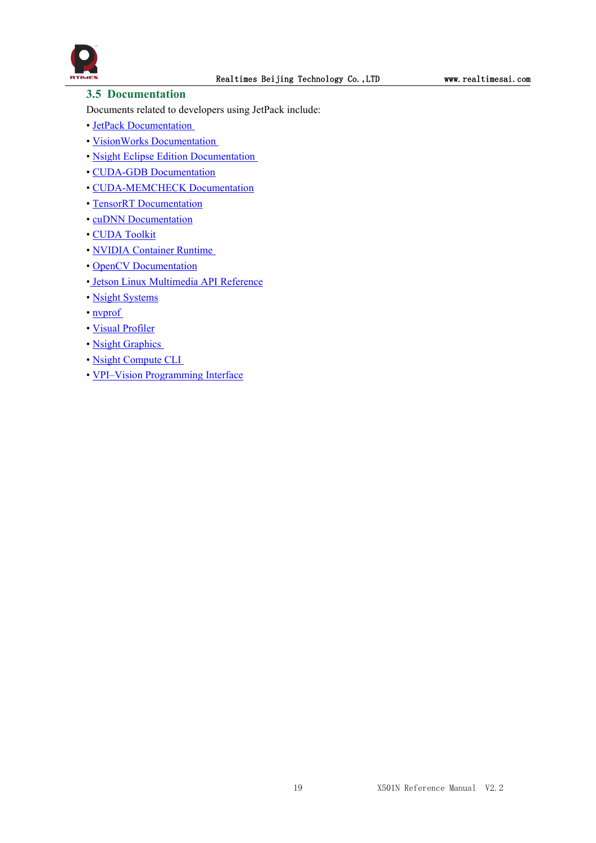

### <span id="page-19-0"></span>**3.5 Documentation**

Documents related to developers using JetPack include:

- JetPack [Documentation](https://docs.nvidia.com/jetson/jetpack/index.html)
- VisionWorks [Documentation](https://developer.nvidia.com/embedded/visionworks)
- Nsight Eclipse Edition [Documentation](https://docs.nvidia.com/cuda/nsight-eclipse-edition-getting-started-guide/index.html)
- CUDA-GDB [Documentation](http://docs.nvidia.com/cuda/cuda-gdb/index.html)
- [CUDA-MEMCHECK](http://docs.nvidia.com/cuda/cuda-memcheck/index.html) Documentation
- TensorRT [Documentation](https://docs.nvidia.com/deeplearning/sdk/tensorrt-developer-guide/index.html)
- cuDNN [Documentation](https://docs.nvidia.com/deeplearning/sdk/cudnn-developer-guide/index.html)
- CUDA [Toolkit](https://docs.nvidia.com/cuda/index.html)
- NVIDIA [Container](https://www.google.com/url?q=https://github.com/NVIDIA/nvidia-docker/wiki%23platform-support&sa=D&ust=1562106101392000&usg=AFQjCNG6YZBlyXRWjcpGIYF8fkBkYt9RsA) Runtime
- OpenCV [Documentation](https://developer.nvidia.com/opencv)
- Jetson Linux [Multimedia](https://docs.nvidia.com/jetson/l4t-multimedia/index.html) API Reference
- Nsight [Systems](https://docs.nvidia.com/nsight-systems/index.html)
- [nvprof](https://docs.nvidia.com/cuda/profiler-users-guide/index.html)
- Visual [Profiler](http://docs.nvidia.com/cuda/profiler-users-guide/index.html)
- Nsight [Graphics](https://docs.nvidia.com/nsight-graphics/index.html)
- Nsight [Compute](https://docs.nvidia.com/nsight-compute/NsightComputeCli/index.html) CLI
- VPI–Vision [Programming](https://docs.nvidia.com/vpi/index.html) Interface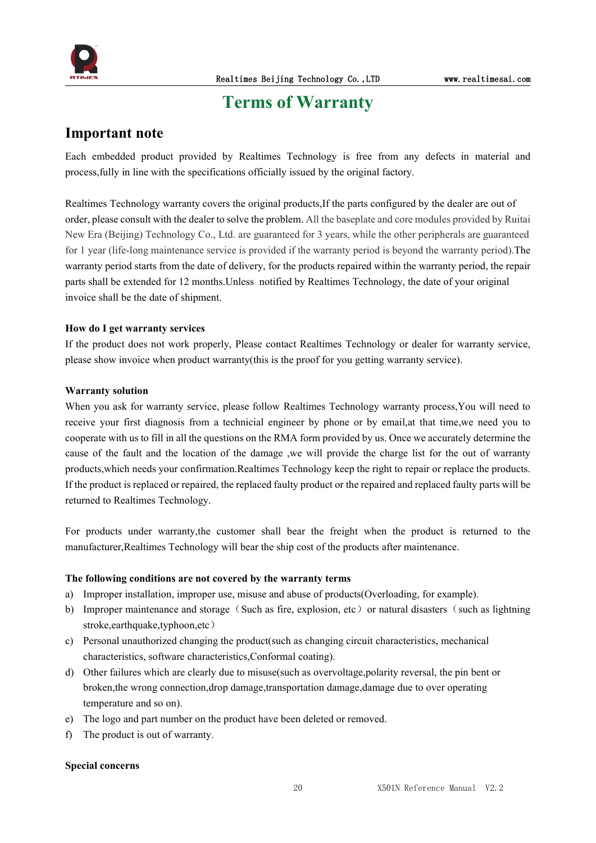

# <span id="page-20-0"></span>**Terms** of Warranty

### **Important note**

Each embedded product provided by Realtimes Technology is free from any defects in material and process,fully in line with the specifications officially issued by the original factory.

Realtimes Technology warranty covers the original products,If the parts configured by the dealer are out of order, please consultwith the dealer to solve the problem. All the baseplate and core modules provided by Ruitai New Era (Beijing) Technology Co., Ltd. are guaranteed for 3 years, while the other peripherals are guaranteed for 1 year (life-long maintenance service is provided if the warranty period is beyond the warranty period).The warranty period starts from the date of delivery, for the products repaired within the warranty period, the repair parts shall be extended for 12 months. Unless notified by Realtimes Technology, the date of your original invoice shall be the date of shipment.

### **How do I get warranty services**

If the product does not work properly, Please contact Realtimes Technology or dealer for warranty service, please show invoice when product warranty(this is the proof for you getting warranty service).

### **Warranty solution**

When you ask for warranty service, please follow Realtimes Technology warranty process,You will need to receive your first diagnosis from a technicial engineer by phone or by email,at that time,we need you to cooperate with us to fill in all the questions on the RMA form provided by us. Once we accurately determine the cause of the fault and the location of the damage ,we will provide the charge list for the out of warranty products,which needs your confirmation.Realtimes Technology keep the right to repair or replace the products. If the product is replaced or repaired, the replaced faulty product or the repaired and replaced faulty parts will be returned to Realtimes Technology.

For products under warranty, the customer shall bear the freight when the product is returned to the manufacturer,Realtimes Technology will bear the ship cost of the products after maintenance.

### **The following conditions are not covered by the warranty terms**

- a) Improper installation, improper use, misuse and abuse of products(Overloading, for example).
- b) Improper maintenance and storage (Such as fire, explosion, etc) or natural disasters (such as lightning stroke,earthquake,typhoon,etc)
- c) Personal unauthorized changing the product(such as changing circuit characteristics, mechanical characteristics, software characteristics,Conformal coating).
- d) Other failures which are clearly due to misuse(such as overvoltage,polarity reversal, the pin bent or broken,the wrong connection,drop damage,transportation damage,damage due to over operating temperature and so on).
- e) The logo and part number on the product have been deleted or removed.
- f) The product is out of warranty.

### **Special concerns**